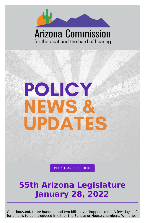

### **Arizona Commission** for the deaf and the hard of hearing



#### PLAIN [TRANSCRIPT](https://d1a8dioxuajlzs.cloudfront.net/accounts/16570/original/Policy%2520Alert%252001.28.pdf?1643402378) HERE

# **55th Arizona Legislature January 28, 2022**

One thousand, three hundred and two bills have dropped so far. A few days left for all bills to be introduced in either the Senate or House chambers. While we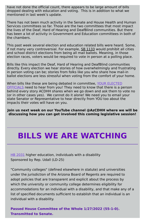have not done the official count, there appears to be large amount of bills dropped dealing with education and voting. This is in addition to what we mentioned in last week's update.

There has not been much activity in the Senate and House Health and Human Services committees so far. Those are the two committees that most impact the lives of the Deaf, Hard of Hearing and DeafBlind communities. But there has been a lot of activity in Government and Education committees in both of the chambers.

This past week several election and education related bills were heard. Some, if not many very controversial. For example, **SB [1133](https://apps.azleg.gov/BillStatus/BillOverview/76452)** would prohibit all cities and school district elections from being all mail ballots. Meaning, in those election races, voters would be required to vote in person at a polling place.

When bills like these are being debated in [committee,](https://www.azleg.gov/findmylegislator/) YOUR ELECTED OFFICIALS need to hear from you! They need to know that there is a person behind every story ACDHH shares when we go down and ask them to vote no (or in other cases yes). We cannot do it alone! We need you to email your state Senator or Representative to hear directly from YOU too about the impacts their votes will have on you.

HB [2031](https://www.azleg.gov/legtext/55leg/2R/bills/HB2031P.pdf) higher education, individuals with a disability Sponsored by Rep. Udall (LD-25)

Bills like this impact the Deaf, Hard of Hearing and DeafBlind communities directly. Every election we hear stories of how overwhelmingly and frustrating in person voting can be; stories from folks like you who share how mail-in ballot elections are less stressful when voting from the comfort of your home.

**Join us next week on our YouTube channel @AzCDHH where we will be discussing how you can get involved this coming legislative session!**

# **BILLS WE ARE WATCHING**

"Community colleges" (defined elsewhere in statute) and universities under the jurisdiction of the Arizona Board of Regents are required to adopt policies that are transparent and explicit about the process by which the university or community college determines eligibility for accommodations for an individual with a disability, and that make any of a list of specified documents sufficient to establish that an individual is an individual with a disability.

**Passed House Committee of the Whole 1/27/2022 (55-1-0). Transmitted to Senate.**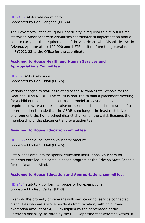HB [2436](https://www.azleg.gov/legtext/55leg/2R/bills/HB2436P.pdf) ADA state coordinator Sponsored by Rep. Longdon (LD-24)

The Governor's Office of Equal Opportunity is required to hire a full-time statewide Americans with disabilities coordinator to implement an annual plan to carry out the requirements of the Americans with Disabilities Act in Arizona. Appropriates \$100,000 and 1 FTE position from the general fund in FY2022-23 to the Office for the coordinator.

#### **Assigned to House Health and Human Services and Appropriations Committee.**

[HB2565](https://www.azleg.gov/legtext/55leg/2R/bills/HB2565P.pdf) ASDB; revisions Sponsored by Rep. Udall (LD-25)

HB [2566](https://www.azleg.gov/legtext/55leg/2R/bills/HB2566P.pdf) special education vouchers; amount Sponsored by Rep. Udall (LD-25)

HB [2454](https://www.azleg.gov/legtext/55leg/2R/bills/HB2454P.pdf) statutory conformity; property tax exemptions Sponsored by Rep. Carter (LD-8)

Various changes to statues relating to the Arizona State Schools for the Deaf and Blind (ASDB). The ASDB is required to hold a placement meeting for a child enrolled in a campus-based model at least annually, and is required to invite a representative of the child's home school district. If a determination is made that the ASDB is no longer the least restrictive environment, the home school district shall enroll the child. Expands the membership of the placement and evaluation team.

#### **Assigned to House Education committee.**

Establishes amounts for special education institutional vouchers for students enrolled in a campus-based program at the Arizona State Schools for the Deaf and Blind.

#### **Assigned to House Education and Appropriations committee.**

Exempts the property of veterans with service or nonservice connected disabilities who are Arizona residents from taxation, with an allowed exemption amount of \$4,200 multiplied by the percentage of the veteran's disability, as rated by the U.S. Department of Veterans Affairs, if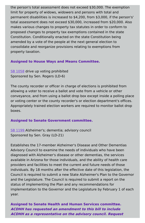the person's total assessment does not exceed \$30,000. The exemption limit for property of widows, widowers and persons with total and permanent disabilities is increased to \$4,200, from \$3,000, if the person's' total assessment does not exceed \$30,000, increased from \$20,000. Also makes various changes to property tax statutes in order to conform to proposed changes to property tax exemptions contained in the state Constitution. Conditionally enacted on the state Constitution being amended by a vote of the people at the next general election to consolidate and reorganize provisions relating to exemptions from property taxation.

SB [1058](https://www.azleg.gov/legtext/55leg/2R/bills/SB1058P.pdf) drive up voting prohibited Sponsored by Sen. Rogers (LD-6)

#### **Assigned to House Ways and Means Committee.**

The county recorder or officer in charge of elections is prohibited from allowing a voter to receive a ballot and vote from a vehicle or other conveyance, and from using a ballot drop box except inside a polling place or voting center or the county recorder's or election department's offices. Appropriately trained election workers are required to monitor ballot drop boxes.

#### **Assigned to Senate Government committee.**

SB [1199](https://www.azleg.gov/legtext/55leg/2R/bills/SB1199P.pdf) Alzheimer's; dementia; advisory council Sponsored by Sen. Gray (LD-21)

Establishes the 17-member Alzheimer's Disease and Other Dementias Advisory Council to examine the needs of individuals who have been diagnosed with Alzheimer's disease or other dementias, the services available in Arizona for those individuals, and the ability of health care providers and facilities to meet the current and future needs of those individuals. By 18 months after the effective date of this legislation, the Council is required to submit a new State Alzheimer's Plan to the Governor and the Legislature. The Council is required to submit a report on the status of implementing the Plan and any recommendations for implementation to the Governor and the Legislature by February 1 of each year.

**Assigned to Senate Health and Human Services committee. ACDHH has requested an amendment to this bill to include ACDHH as <sup>a</sup> representative on the advisory council. Request**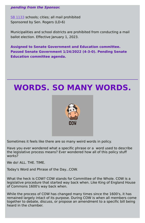#### **pending from the Sponsor.**

SB [1133](https://www.azleg.gov/legtext/55leg/2R/bills/SB1133P.pdf) schools; cities; all mail prohibited Sponsored by Sen. Rogers (LD-6)

Municipalities and school districts are prohibited from conducting a mail ballot election. Effective January 1, 2023.

**Assigned to Senate Government and Education committee. Passed Senate Government 1/24/2022 (4-3-0). Pending Senate Education committee agenda.**

## **WORDS. SO MANY WORDS.**



Sometimes it feels like there are so many weird words in policy.

Have you ever wondered what a specific phrase or a word used to describe the legislative process means? Ever wondered how all of this policy stuff works?

We do! ALL. THE. TIME.

What the heck is COW? COW stands for Committee of the Whole. COW is a legislative procedure that started way back when. Like King of England House of Commons 1600's way back when.

While the process of COW has changed many times since the 1600's, it has remained largely intact of its purpose. During COW is when all members come together to debate, discuss, or propose an amendment to a specific bill being heard in the chamber.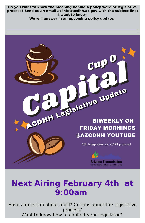**Do you want to know the meaning behind a policy word or legislative process? Send us an email at info@acdhh.az.gov with the subject line: I want to know.**

Have a question about a bill? Curious about the legislative process? Want to know how to contact your Legislator?

**We will answer in an upcoming policy update.**

# CDHH Legislative Update **BIWEEKLY ON FRIDAY MORNINGS** @AZCDHH YOUTUBE

ASL Interpreters and CART provided





for the deaf and the hard of hearing

## **Next Airing February 4th at 9:00am**